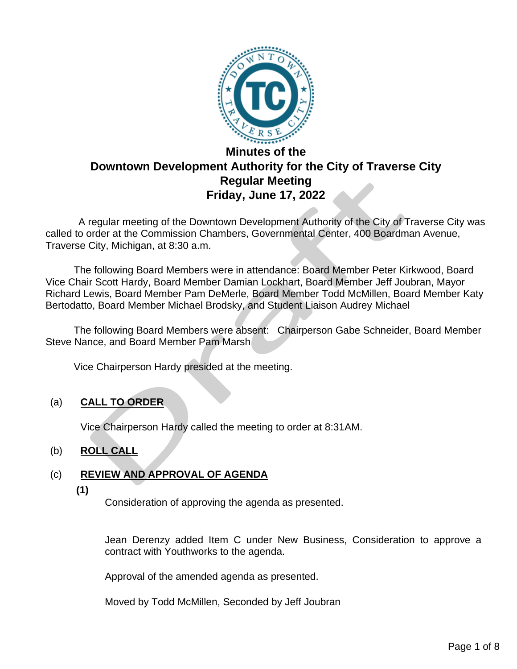

# **Downtown Development Authority for the City of Traverse City Regular Meeting Friday, June 17, 2022**

 A regular meeting of the Downtown Development Authority of the City of Traverse City was called to order at the Commission Chambers, Governmental Center, 400 Boardman Avenue, Traverse City, Michigan, at 8:30 a.m.

The following Board Members were in attendance: Board Member Peter Kirkwood, Board Vice Chair Scott Hardy, Board Member Damian Lockhart, Board Member Jeff Joubran, Mayor Richard Lewis, Board Member Pam DeMerle, Board Member Todd McMillen, Board Member Katy Bertodatto, Board Member Michael Brodsky, and Student Liaison Audrey Michael

 The following Board Members were absent: Chairperson Gabe Schneider, Board Member Steve Nance, and Board Member Pam Marsh

Vice Chairperson Hardy presided at the meeting.

#### (a) **CALL TO ORDER**

Vice Chairperson Hardy called the meeting to order at 8:31AM.

#### (b) **ROLL CALL**

#### (c) **REVIEW AND APPROVAL OF AGENDA**

**(1)**

Consideration of approving the agenda as presented.

Jean Derenzy added Item C under New Business, Consideration to approve a contract with Youthworks to the agenda.

Approval of the amended agenda as presented.

Moved by Todd McMillen, Seconded by Jeff Joubran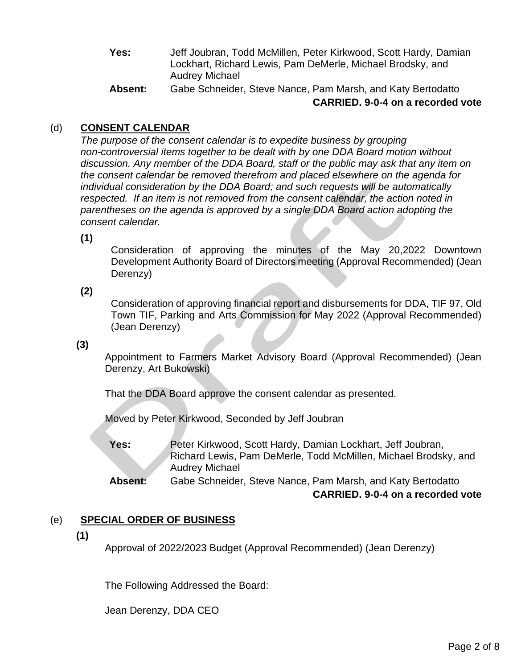- **Yes:** Jeff Joubran, Todd McMillen, Peter Kirkwood, Scott Hardy, Damian Lockhart, Richard Lewis, Pam DeMerle, Michael Brodsky, and Audrey Michael
- **Absent:** Gabe Schneider, Steve Nance, Pam Marsh, and Katy Bertodatto **CARRIED. 9-0-4 on a recorded vote**

## (d) **CONSENT CALENDAR**

*The purpose of the consent calendar is to expedite business by grouping non-controversial items together to be dealt with by one DDA Board motion without discussion. Any member of the DDA Board, staff or the public may ask that any item on the consent calendar be removed therefrom and placed elsewhere on the agenda for individual consideration by the DDA Board; and such requests will be automatically respected. If an item is not removed from the consent calendar, the action noted in parentheses on the agenda is approved by a single DDA Board action adopting the consent calendar.*

**(1)**

Consideration of approving the minutes of the May 20,2022 Downtown Development Authority Board of Directors meeting (Approval Recommended) (Jean Derenzy)

#### **(2)**

Consideration of approving financial report and disbursements for DDA, TIF 97, Old Town TIF, Parking and Arts Commission for May 2022 (Approval Recommended) (Jean Derenzy)

#### **(3)**

Appointment to Farmers Market Advisory Board (Approval Recommended) (Jean Derenzy, Art Bukowski)

That the DDA Board approve the consent calendar as presented.

Moved by Peter Kirkwood, Seconded by Jeff Joubran

**Yes:** Peter Kirkwood, Scott Hardy, Damian Lockhart, Jeff Joubran, Richard Lewis, Pam DeMerle, Todd McMillen, Michael Brodsky, and Audrey Michael

**Absent:** Gabe Schneider, Steve Nance, Pam Marsh, and Katy Bertodatto **CARRIED. 9-0-4 on a recorded vote**

#### (e) **SPECIAL ORDER OF BUSINESS**

**(1)**

Approval of 2022/2023 Budget (Approval Recommended) (Jean Derenzy)

The Following Addressed the Board:

Jean Derenzy, DDA CEO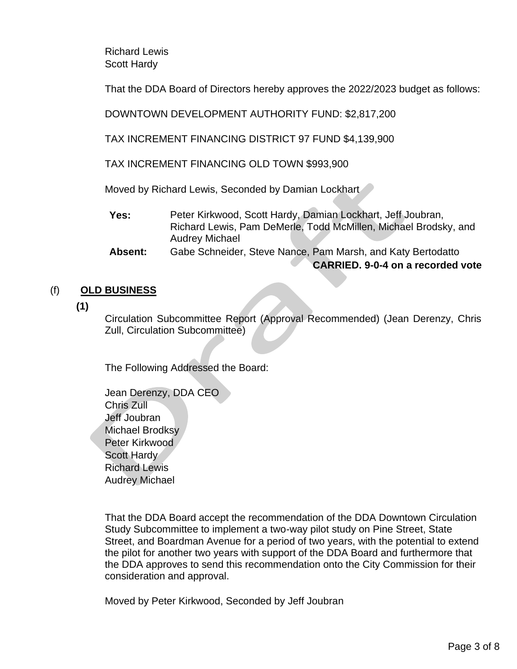Richard Lewis Scott Hardy

That the DDA Board of Directors hereby approves the 2022/2023 budget as follows:

DOWNTOWN DEVELOPMENT AUTHORITY FUND: \$2,817,200

TAX INCREMENT FINANCING DISTRICT 97 FUND \$4,139,900

TAX INCREMENT FINANCING OLD TOWN \$993,900

Moved by Richard Lewis, Seconded by Damian Lockhart

**Yes:** Peter Kirkwood, Scott Hardy, Damian Lockhart, Jeff Joubran, Richard Lewis, Pam DeMerle, Todd McMillen, Michael Brodsky, and Audrey Michael

**Absent:** Gabe Schneider, Steve Nance, Pam Marsh, and Katy Bertodatto **CARRIED. 9-0-4 on a recorded vote**

## (f) **OLD BUSINESS**

**(1)**

Circulation Subcommittee Report (Approval Recommended) (Jean Derenzy, Chris Zull, Circulation Subcommittee)

The Following Addressed the Board:

Jean Derenzy, DDA CEO Chris Zull Jeff Joubran Michael Brodksy Peter Kirkwood Scott Hardy Richard Lewis Audrey Michael

That the DDA Board accept the recommendation of the DDA Downtown Circulation Study Subcommittee to implement a two-way pilot study on Pine Street, State Street, and Boardman Avenue for a period of two years, with the potential to extend the pilot for another two years with support of the DDA Board and furthermore that the DDA approves to send this recommendation onto the City Commission for their consideration and approval.

Moved by Peter Kirkwood, Seconded by Jeff Joubran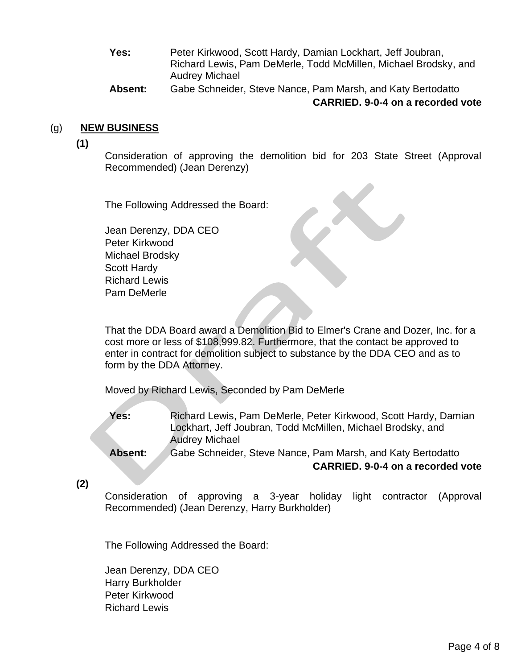- **Yes:** Peter Kirkwood, Scott Hardy, Damian Lockhart, Jeff Joubran, Richard Lewis, Pam DeMerle, Todd McMillen, Michael Brodsky, and Audrey Michael
- **Absent:** Gabe Schneider, Steve Nance, Pam Marsh, and Katy Bertodatto **CARRIED. 9-0-4 on a recorded vote**

#### (g) **NEW BUSINESS**

**(1)**

Consideration of approving the demolition bid for 203 State Street (Approval Recommended) (Jean Derenzy)

The Following Addressed the Board:

Jean Derenzy, DDA CEO Peter Kirkwood Michael Brodsky Scott Hardy Richard Lewis Pam DeMerle

That the DDA Board award a Demolition Bid to Elmer's Crane and Dozer, Inc. for a cost more or less of \$108,999.82. Furthermore, that the contact be approved to enter in contract for demolition subject to substance by the DDA CEO and as to form by the DDA Attorney.

Moved by Richard Lewis, Seconded by Pam DeMerle

**Yes:** Richard Lewis, Pam DeMerle, Peter Kirkwood, Scott Hardy, Damian Lockhart, Jeff Joubran, Todd McMillen, Michael Brodsky, and Audrey Michael

**Absent:** Gabe Schneider, Steve Nance, Pam Marsh, and Katy Bertodatto **CARRIED. 9-0-4 on a recorded vote**

**(2)**

Consideration of approving a 3-year holiday light contractor (Approval Recommended) (Jean Derenzy, Harry Burkholder)

The Following Addressed the Board:

Jean Derenzy, DDA CEO Harry Burkholder Peter Kirkwood Richard Lewis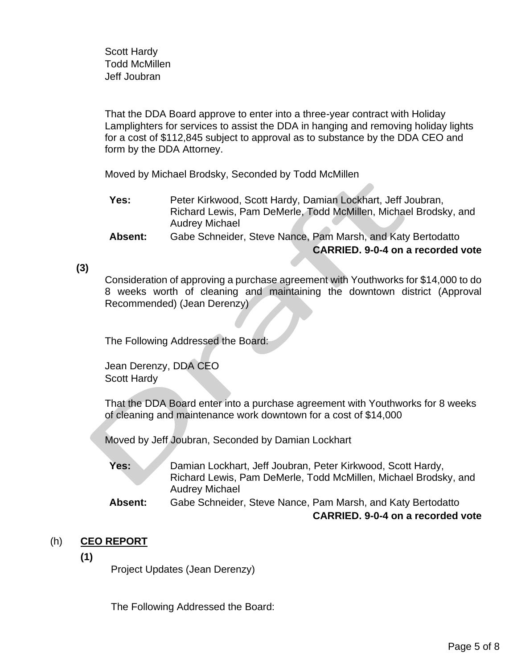Scott Hardy Todd McMillen Jeff Joubran

That the DDA Board approve to enter into a three-year contract with Holiday Lamplighters for services to assist the DDA in hanging and removing holiday lights for a cost of \$112,845 subject to approval as to substance by the DDA CEO and form by the DDA Attorney.

Moved by Michael Brodsky, Seconded by Todd McMillen

- **Yes:** Peter Kirkwood, Scott Hardy, Damian Lockhart, Jeff Joubran, Richard Lewis, Pam DeMerle, Todd McMillen, Michael Brodsky, and Audrey Michael
- **Absent:** Gabe Schneider, Steve Nance, Pam Marsh, and Katy Bertodatto **CARRIED. 9-0-4 on a recorded vote**

#### **(3)**

Consideration of approving a purchase agreement with Youthworks for \$14,000 to do 8 weeks worth of cleaning and maintaining the downtown district (Approval Recommended) (Jean Derenzy)

The Following Addressed the Board:

Jean Derenzy, DDA CEO Scott Hardy

That the DDA Board enter into a purchase agreement with Youthworks for 8 weeks of cleaning and maintenance work downtown for a cost of \$14,000

Moved by Jeff Joubran, Seconded by Damian Lockhart

**Yes:** Damian Lockhart, Jeff Joubran, Peter Kirkwood, Scott Hardy, Richard Lewis, Pam DeMerle, Todd McMillen, Michael Brodsky, and Audrey Michael

**Absent:** Gabe Schneider, Steve Nance, Pam Marsh, and Katy Bertodatto **CARRIED. 9-0-4 on a recorded vote**

#### (h) **CEO REPORT**

**(1)**

Project Updates (Jean Derenzy)

The Following Addressed the Board: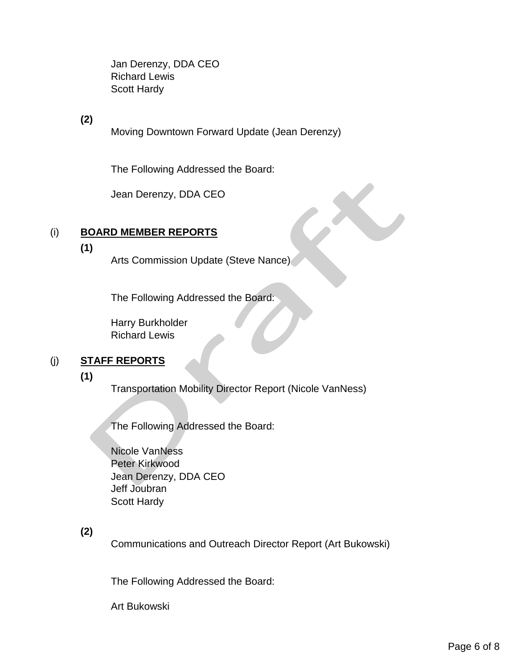Jan Derenzy, DDA CEO Richard Lewis Scott Hardy

**(2)**

Moving Downtown Forward Update (Jean Derenzy)

The Following Addressed the Board:

Jean Derenzy, DDA CEO

## (i) **BOARD MEMBER REPORTS**

**(1)**

Arts Commission Update (Steve Nance)

The Following Addressed the Board:

Harry Burkholder Richard Lewis

#### (j) **STAFF REPORTS**

**(1)**

Transportation Mobility Director Report (Nicole VanNess)

The Following Addressed the Board:

Nicole VanNess Peter Kirkwood Jean Derenzy, DDA CEO Jeff Joubran Scott Hardy

## **(2)**

Communications and Outreach Director Report (Art Bukowski)

The Following Addressed the Board:

Art Bukowski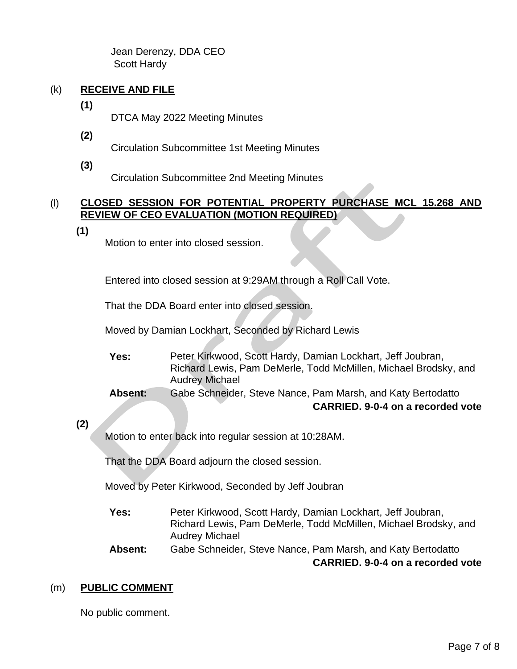Jean Derenzy, DDA CEO Scott Hardy

## (k) **RECEIVE AND FILE**

**(1)**

DTCA May 2022 Meeting Minutes

**(2)**

Circulation Subcommittee 1st Meeting Minutes

**(3)**

Circulation Subcommittee 2nd Meeting Minutes

#### (l) **CLOSED SESSION FOR POTENTIAL PROPERTY PURCHASE MCL 15.268 AND REVIEW OF CEO EVALUATION (MOTION REQUIRED)**

**(1)**

Motion to enter into closed session.

Entered into closed session at 9:29AM through a Roll Call Vote.

That the DDA Board enter into closed session.

Moved by Damian Lockhart, Seconded by Richard Lewis

- **Yes:** Peter Kirkwood, Scott Hardy, Damian Lockhart, Jeff Joubran, Richard Lewis, Pam DeMerle, Todd McMillen, Michael Brodsky, and Audrey Michael
- **Absent:** Gabe Schneider, Steve Nance, Pam Marsh, and Katy Bertodatto **CARRIED. 9-0-4 on a recorded vote**

## **(2)**

Motion to enter back into regular session at 10:28AM.

That the DDA Board adjourn the closed session.

Moved by Peter Kirkwood, Seconded by Jeff Joubran

- **Yes:** Peter Kirkwood, Scott Hardy, Damian Lockhart, Jeff Joubran, Richard Lewis, Pam DeMerle, Todd McMillen, Michael Brodsky, and Audrey Michael
- **Absent:** Gabe Schneider, Steve Nance, Pam Marsh, and Katy Bertodatto

**CARRIED. 9-0-4 on a recorded vote**

## (m) **PUBLIC COMMENT**

No public comment.